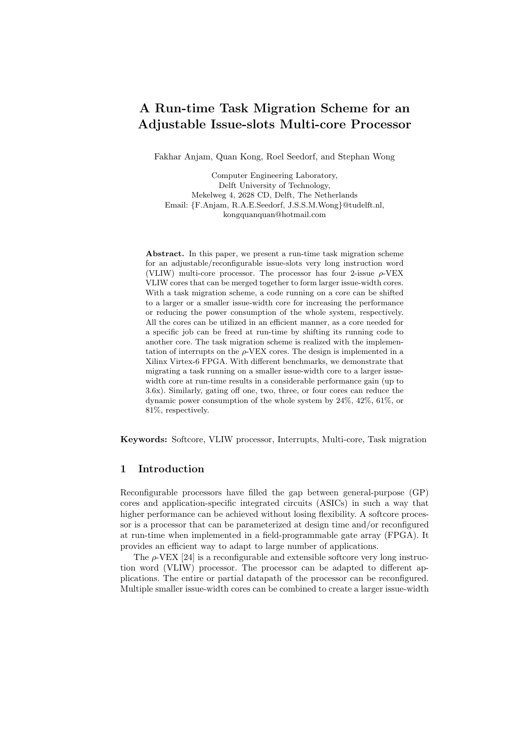# A Run-time Task Migration Scheme for an Adjustable Issue-slots Multi-core Processor

Fakhar Anjam, Quan Kong, Roel Seedorf, and Stephan Wong

Computer Engineering Laboratory, Delft University of Technology, Mekelweg 4, 2628 CD, Delft, The Netherlands Email: {F.Anjam, R.A.E.Seedorf, J.S.S.M.Wong}@tudelft.nl, kongquanquan@hotmail.com

Abstract. In this paper, we present a run-time task migration scheme for an adjustable/reconfigurable issue-slots very long instruction word (VLIW) multi-core processor. The processor has four 2-issue  $\rho$ -VEX VLIW cores that can be merged together to form larger issue-width cores. With a task migration scheme, a code running on a core can be shifted to a larger or a smaller issue-width core for increasing the performance or reducing the power consumption of the whole system, respectively. All the cores can be utilized in an efficient manner, as a core needed for a specific job can be freed at run-time by shifting its running code to another core. The task migration scheme is realized with the implementation of interrupts on the  $\rho$ -VEX cores. The design is implemented in a Xilinx Virtex-6 FPGA. With different benchmarks, we demonstrate that migrating a task running on a smaller issue-width core to a larger issuewidth core at run-time results in a considerable performance gain (up to 3.6x). Similarly, gating off one, two, three, or four cores can reduce the dynamic power consumption of the whole system by 24%, 42%, 61%, or 81%, respectively.

Keywords: Softcore, VLIW processor, Interrupts, Multi-core, Task migration

# 1 Introduction

Reconfigurable processors have filled the gap between general-purpose (GP) cores and application-specific integrated circuits (ASICs) in such a way that higher performance can be achieved without losing flexibility. A softcore processor is a processor that can be parameterized at design time and/or reconfigured at run-time when implemented in a field-programmable gate array (FPGA). It provides an efficient way to adapt to large number of applications.

The  $\rho$ -VEX [24] is a reconfigurable and extensible softcore very long instruction word (VLIW) processor. The processor can be adapted to different applications. The entire or partial datapath of the processor can be reconfigured. Multiple smaller issue-width cores can be combined to create a larger issue-width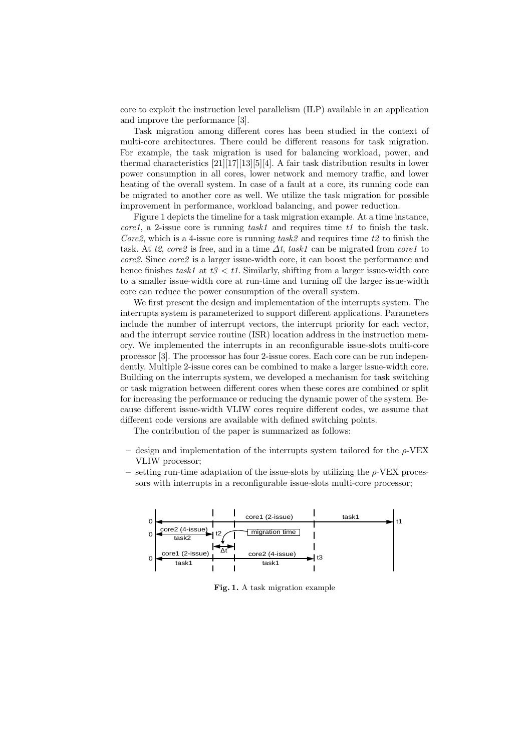core to exploit the instruction level parallelism (ILP) available in an application and improve the performance [3].

Task migration among different cores has been studied in the context of multi-core architectures. There could be different reasons for task migration. For example, the task migration is used for balancing workload, power, and thermal characteristics [21][17][13][5][4]. A fair task distribution results in lower power consumption in all cores, lower network and memory traffic, and lower heating of the overall system. In case of a fault at a core, its running code can be migrated to another core as well. We utilize the task migration for possible improvement in performance, workload balancing, and power reduction.

Figure 1 depicts the timeline for a task migration example. At a time instance, core1, a 2-issue core is running task1 and requires time t1 to finish the task. Core2, which is a 4-issue core is running task2 and requires time t2 to finish the task. At t2, core2 is free, and in a time  $\Delta t$ , task1 can be migrated from core1 to core2. Since core2 is a larger issue-width core, it can boost the performance and hence finishes task1 at  $t3 < t1$ . Similarly, shifting from a larger issue-width core to a smaller issue-width core at run-time and turning off the larger issue-width core can reduce the power consumption of the overall system.

We first present the design and implementation of the interrupts system. The interrupts system is parameterized to support different applications. Parameters include the number of interrupt vectors, the interrupt priority for each vector, and the interrupt service routine (ISR) location address in the instruction memory. We implemented the interrupts in an reconfigurable issue-slots multi-core processor [3]. The processor has four 2-issue cores. Each core can be run independently. Multiple 2-issue cores can be combined to make a larger issue-width core. Building on the interrupts system, we developed a mechanism for task switching or task migration between different cores when these cores are combined or split for increasing the performance or reducing the dynamic power of the system. Because different issue-width VLIW cores require different codes, we assume that different code versions are available with defined switching points.

The contribution of the paper is summarized as follows:

- design and implementation of the interrupts system tailored for the  $\rho$ -VEX VLIW processor;
- setting run-time adaptation of the issue-slots by utilizing the ρ-VEX processors with interrupts in a reconfigurable issue-slots multi-core processor;



Fig. 1. A task migration example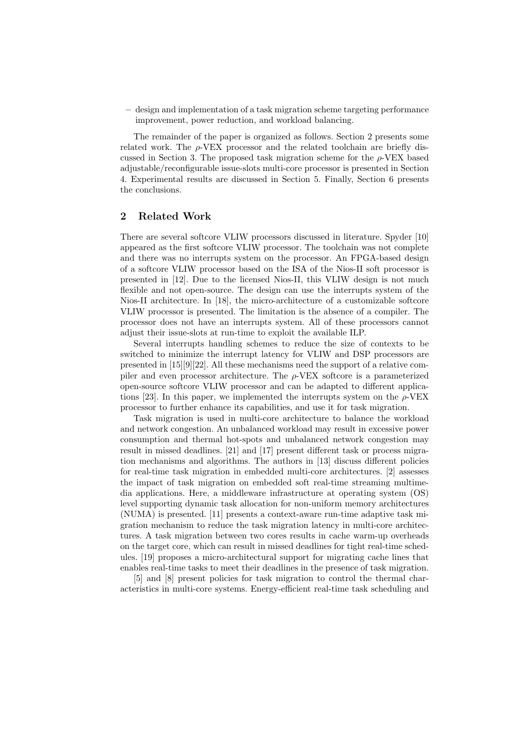– design and implementation of a task migration scheme targeting performance improvement, power reduction, and workload balancing.

The remainder of the paper is organized as follows. Section 2 presents some related work. The  $\rho$ -VEX processor and the related toolchain are briefly discussed in Section 3. The proposed task migration scheme for the  $\rho$ -VEX based adjustable/reconfigurable issue-slots multi-core processor is presented in Section 4. Experimental results are discussed in Section 5. Finally, Section 6 presents the conclusions.

#### 2 Related Work

There are several softcore VLIW processors discussed in literature. Spyder [10] appeared as the first softcore VLIW processor. The toolchain was not complete and there was no interrupts system on the processor. An FPGA-based design of a softcore VLIW processor based on the ISA of the Nios-II soft processor is presented in [12]. Due to the licensed Nios-II, this VLIW design is not much flexible and not open-source. The design can use the interrupts system of the Nios-II architecture. In [18], the micro-architecture of a customizable softcore VLIW processor is presented. The limitation is the absence of a compiler. The processor does not have an interrupts system. All of these processors cannot adjust their issue-slots at run-time to exploit the available ILP.

Several interrupts handling schemes to reduce the size of contexts to be switched to minimize the interrupt latency for VLIW and DSP processors are presented in [15][9][22]. All these mechanisms need the support of a relative compiler and even processor architecture. The  $\rho$ -VEX softcore is a parameterized open-source softcore VLIW processor and can be adapted to different applications [23]. In this paper, we implemented the interrupts system on the  $\rho$ -VEX processor to further enhance its capabilities, and use it for task migration.

Task migration is used in multi-core architecture to balance the workload and network congestion. An unbalanced workload may result in excessive power consumption and thermal hot-spots and unbalanced network congestion may result in missed deadlines. [21] and [17] present different task or process migration mechanisms and algorithms. The authors in [13] discuss different policies for real-time task migration in embedded multi-core architectures. [2] assesses the impact of task migration on embedded soft real-time streaming multimedia applications. Here, a middleware infrastructure at operating system (OS) level supporting dynamic task allocation for non-uniform memory architectures (NUMA) is presented. [11] presents a context-aware run-time adaptive task migration mechanism to reduce the task migration latency in multi-core architectures. A task migration between two cores results in cache warm-up overheads on the target core, which can result in missed deadlines for tight real-time schedules. [19] proposes a micro-architectural support for migrating cache lines that enables real-time tasks to meet their deadlines in the presence of task migration.

[5] and [8] present policies for task migration to control the thermal characteristics in multi-core systems. Energy-efficient real-time task scheduling and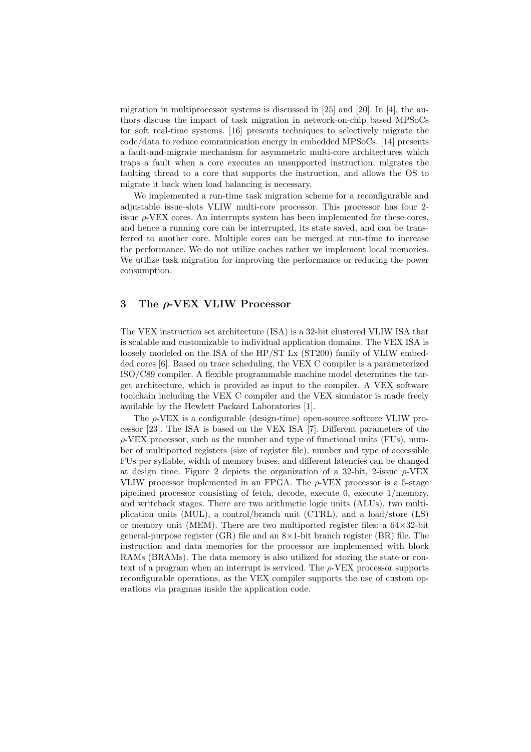migration in multiprocessor systems is discussed in  $[25]$  and  $[20]$ . In  $[4]$ , the authors discuss the impact of task migration in network-on-chip based MPSoCs for soft real-time systems. [16] presents techniques to selectively migrate the code/data to reduce communication energy in embedded MPSoCs. [14] presents a fault-and-migrate mechanism for asymmetric multi-core architectures which traps a fault when a core executes an unsupported instruction, migrates the faulting thread to a core that supports the instruction, and allows the OS to migrate it back when load balancing is necessary.

We implemented a run-time task migration scheme for a reconfigurable and adjustable issue-slots VLIW multi-core processor. This processor has four 2 issue  $\rho$ -VEX cores. An interrupts system has been implemented for these cores, and hence a running core can be interrupted, its state saved, and can be transferred to another core. Multiple cores can be merged at run-time to increase the performance. We do not utilize caches rather we implement local memories. We utilize task migration for improving the performance or reducing the power consumption.

# 3 The ρ-VEX VLIW Processor

The VEX instruction set architecture (ISA) is a 32-bit clustered VLIW ISA that is scalable and customizable to individual application domains. The VEX ISA is loosely modeled on the ISA of the HP/ST Lx (ST200) family of VLIW embedded cores [6]. Based on trace scheduling, the VEX C compiler is a parameterized ISO/C89 compiler. A flexible programmable machine model determines the target architecture, which is provided as input to the compiler. A VEX software toolchain including the VEX C compiler and the VEX simulator is made freely available by the Hewlett Packard Laboratories [1].

The  $\rho$ -VEX is a configurable (design-time) open-source softcore VLIW processor [23]. The ISA is based on the VEX ISA [7]. Different parameters of the  $\rho$ -VEX processor, such as the number and type of functional units (FUs), number of multiported registers (size of register file), number and type of accessible FUs per syllable, width of memory buses, and different latencies can be changed at design time. Figure 2 depicts the organization of a 32-bit, 2-issue  $\rho$ -VEX VLIW processor implemented in an FPGA. The  $\rho$ -VEX processor is a 5-stage pipelined processor consisting of fetch, decode, execute 0, execute 1/memory, and writeback stages. There are two arithmetic logic units (ALUs), two multiplication units (MUL), a control/branch unit (CTRL), and a load/store (LS) or memory unit (MEM). There are two multiported register files: a  $64\times32$ -bit general-purpose register (GR) file and an  $8\times1$ -bit branch register (BR) file. The instruction and data memories for the processor are implemented with block RAMs (BRAMs). The data memory is also utilized for storing the state or context of a program when an interrupt is serviced. The  $\rho$ -VEX processor supports reconfigurable operations, as the VEX compiler supports the use of custom operations via pragmas inside the application code.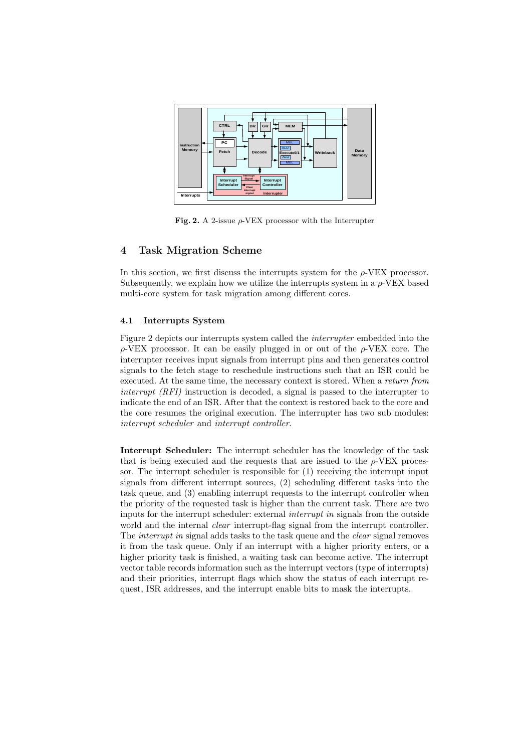

Fig. 2. A 2-issue  $\rho$ -VEX processor with the Interrupter

# 4 Task Migration Scheme

In this section, we first discuss the interrupts system for the  $\rho$ -VEX processor. Subsequently, we explain how we utilize the interrupts system in a  $\rho$ -VEX based multi-core system for task migration among different cores.

## 4.1 Interrupts System

Figure 2 depicts our interrupts system called the interrupter embedded into the  $\rho$ -VEX processor. It can be easily plugged in or out of the  $\rho$ -VEX core. The interrupter receives input signals from interrupt pins and then generates control signals to the fetch stage to reschedule instructions such that an ISR could be executed. At the same time, the necessary context is stored. When a return from interrupt (RFI) instruction is decoded, a signal is passed to the interrupter to indicate the end of an ISR. After that the context is restored back to the core and the core resumes the original execution. The interrupter has two sub modules: interrupt scheduler and interrupt controller.

Interrupt Scheduler: The interrupt scheduler has the knowledge of the task that is being executed and the requests that are issued to the  $\rho$ -VEX processor. The interrupt scheduler is responsible for (1) receiving the interrupt input signals from different interrupt sources, (2) scheduling different tasks into the task queue, and (3) enabling interrupt requests to the interrupt controller when the priority of the requested task is higher than the current task. There are two inputs for the interrupt scheduler: external interrupt in signals from the outside world and the internal *clear* interrupt-flag signal from the interrupt controller. The *interrupt in* signal adds tasks to the task queue and the *clear* signal removes it from the task queue. Only if an interrupt with a higher priority enters, or a higher priority task is finished, a waiting task can become active. The interrupt vector table records information such as the interrupt vectors (type of interrupts) and their priorities, interrupt flags which show the status of each interrupt request, ISR addresses, and the interrupt enable bits to mask the interrupts.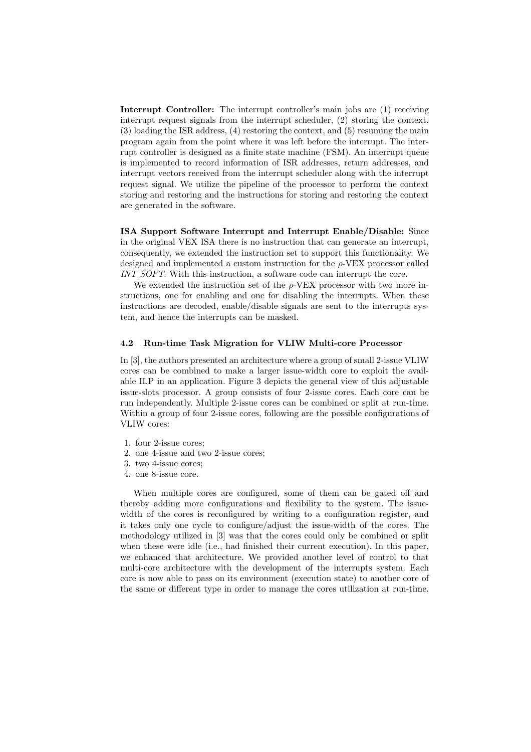Interrupt Controller: The interrupt controller's main jobs are (1) receiving interrupt request signals from the interrupt scheduler, (2) storing the context, (3) loading the ISR address, (4) restoring the context, and (5) resuming the main program again from the point where it was left before the interrupt. The interrupt controller is designed as a finite state machine (FSM). An interrupt queue is implemented to record information of ISR addresses, return addresses, and interrupt vectors received from the interrupt scheduler along with the interrupt request signal. We utilize the pipeline of the processor to perform the context storing and restoring and the instructions for storing and restoring the context are generated in the software.

ISA Support Software Interrupt and Interrupt Enable/Disable: Since in the original VEX ISA there is no instruction that can generate an interrupt, consequently, we extended the instruction set to support this functionality. We designed and implemented a custom instruction for the  $\rho$ -VEX processor called INT\_SOFT. With this instruction, a software code can interrupt the core.

We extended the instruction set of the  $\rho$ -VEX processor with two more instructions, one for enabling and one for disabling the interrupts. When these instructions are decoded, enable/disable signals are sent to the interrupts system, and hence the interrupts can be masked.

#### 4.2 Run-time Task Migration for VLIW Multi-core Processor

In [3], the authors presented an architecture where a group of small 2-issue VLIW cores can be combined to make a larger issue-width core to exploit the available ILP in an application. Figure 3 depicts the general view of this adjustable issue-slots processor. A group consists of four 2-issue cores. Each core can be run independently. Multiple 2-issue cores can be combined or split at run-time. Within a group of four 2-issue cores, following are the possible configurations of VLIW cores:

- 1. four 2-issue cores;
- 2. one 4-issue and two 2-issue cores;
- 3. two 4-issue cores;
- 4. one 8-issue core.

When multiple cores are configured, some of them can be gated off and thereby adding more configurations and flexibility to the system. The issuewidth of the cores is reconfigured by writing to a configuration register, and it takes only one cycle to configure/adjust the issue-width of the cores. The methodology utilized in [3] was that the cores could only be combined or split when these were idle (i.e., had finished their current execution). In this paper, we enhanced that architecture. We provided another level of control to that multi-core architecture with the development of the interrupts system. Each core is now able to pass on its environment (execution state) to another core of the same or different type in order to manage the cores utilization at run-time.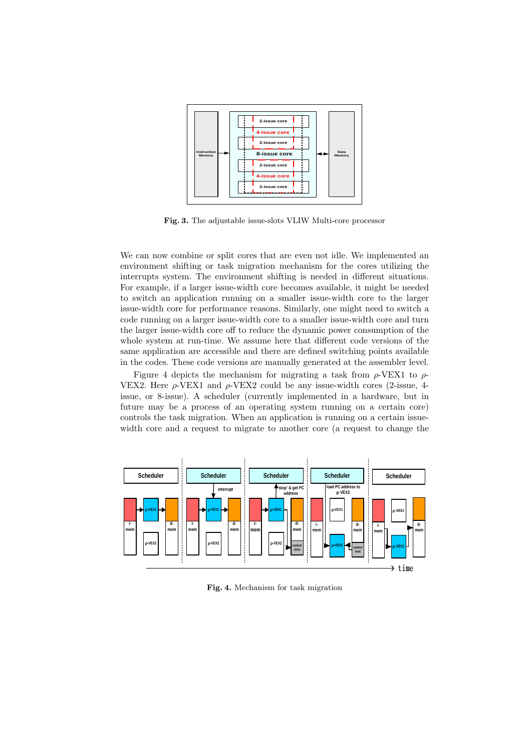

Fig. 3. The adjustable issue-slots VLIW Multi-core processor

We can now combine or split cores that are even not idle. We implemented an environment shifting or task migration mechanism for the cores utilizing the interrupts system. The environment shifting is needed in different situations. For example, if a larger issue-width core becomes available, it might be needed to switch an application running on a smaller issue-width core to the larger issue-width core for performance reasons. Similarly, one might need to switch a code running on a larger issue-width core to a smaller issue-width core and turn the larger issue-width core off to reduce the dynamic power consumption of the whole system at run-time. We assume here that different code versions of the same application are accessible and there are defined switching points available in the codes. These code versions are manually generated at the assembler level.

Figure 4 depicts the mechanism for migrating a task from  $\rho$ -VEX1 to  $\rho$ -VEX2. Here  $\rho$ -VEX1 and  $\rho$ -VEX2 could be any issue-width cores (2-issue, 4issue, or 8-issue). A scheduler (currently implemented in a hardware, but in future may be a process of an operating system running on a certain core) controls the task migration. When an application is running on a certain issuewidth core and a request to migrate to another core (a request to change the



Fig. 4. Mechanism for task migration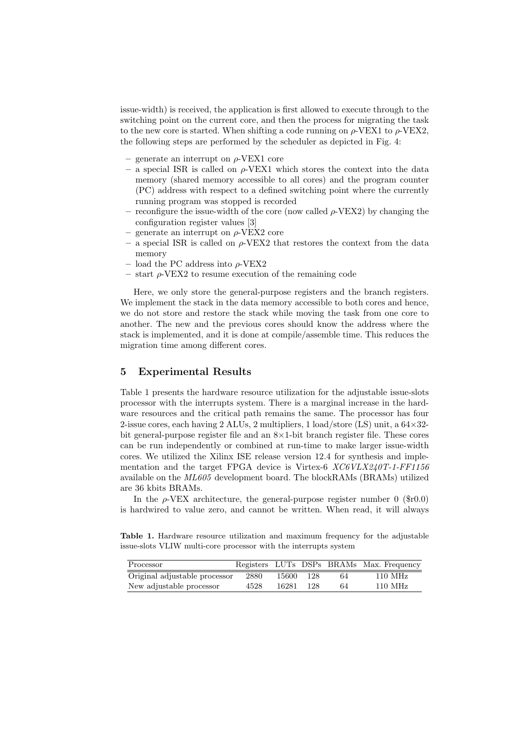issue-width) is received, the application is first allowed to execute through to the switching point on the current core, and then the process for migrating the task to the new core is started. When shifting a code running on  $\rho$ -VEX1 to  $\rho$ -VEX2, the following steps are performed by the scheduler as depicted in Fig. 4:

- generate an interrupt on  $\rho$ -VEX1 core
- $-$  a special ISR is called on  $\rho$ -VEX1 which stores the context into the data memory (shared memory accessible to all cores) and the program counter (PC) address with respect to a defined switching point where the currently running program was stopped is recorded
- reconfigure the issue-width of the core (now called  $\rho$ -VEX2) by changing the configuration register values [3]
- generate an interrupt on  $\rho$ -VEX2 core
- a special ISR is called on  $\rho$ -VEX2 that restores the context from the data memory
- load the PC address into  $\rho$ -VEX2
- $-$  start  $\rho$ -VEX2 to resume execution of the remaining code

Here, we only store the general-purpose registers and the branch registers. We implement the stack in the data memory accessible to both cores and hence, we do not store and restore the stack while moving the task from one core to another. The new and the previous cores should know the address where the stack is implemented, and it is done at compile/assemble time. This reduces the migration time among different cores.

# 5 Experimental Results

Table 1 presents the hardware resource utilization for the adjustable issue-slots processor with the interrupts system. There is a marginal increase in the hardware resources and the critical path remains the same. The processor has four 2-issue cores, each having 2 ALUs, 2 multipliers, 1 load/store (LS) unit, a 64×32 bit general-purpose register file and an  $8\times1$ -bit branch register file. These cores can be run independently or combined at run-time to make larger issue-width cores. We utilized the Xilinx ISE release version 12.4 for synthesis and implementation and the target FPGA device is Virtex-6  $XCGVLX240T-1-FF1156$ available on the ML605 development board. The blockRAMs (BRAMs) utilized are 36 kbits BRAMs.

In the  $\rho$ -VEX architecture, the general-purpose register number 0 (\$r0.0) is hardwired to value zero, and cannot be written. When read, it will always

Table 1. Hardware resource utilization and maximum frequency for the adjustable issue-slots VLIW multi-core processor with the interrupts system

| Processor                     |      |       |     |    | Registers LUTs DSPs BRAMs Max. Frequency |
|-------------------------------|------|-------|-----|----|------------------------------------------|
| Original adjustable processor | 2880 | 15600 | 128 | 64 | $110 \text{ MHz}$                        |
| New adjustable processor      | 4528 | 16281 | 128 | 64 | $110 \text{ MHz}$                        |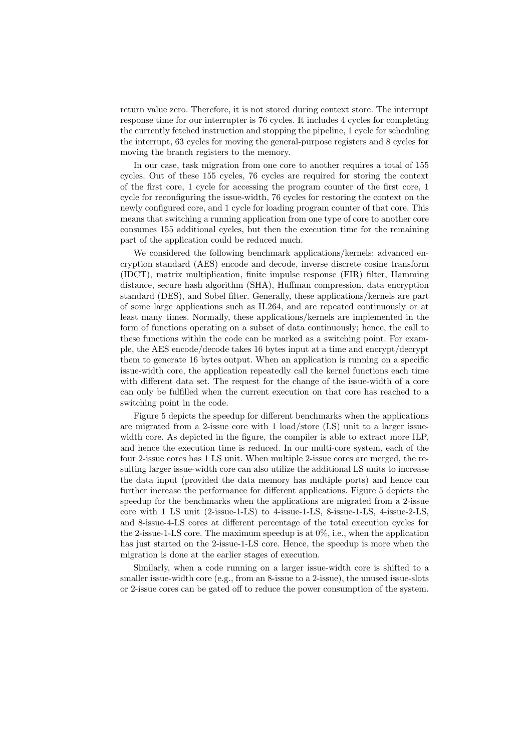return value zero. Therefore, it is not stored during context store. The interrupt response time for our interrupter is 76 cycles. It includes 4 cycles for completing the currently fetched instruction and stopping the pipeline, 1 cycle for scheduling the interrupt, 63 cycles for moving the general-purpose registers and 8 cycles for moving the branch registers to the memory.

In our case, task migration from one core to another requires a total of 155 cycles. Out of these 155 cycles, 76 cycles are required for storing the context of the first core, 1 cycle for accessing the program counter of the first core, 1 cycle for reconfiguring the issue-width, 76 cycles for restoring the context on the newly configured core, and 1 cycle for loading program counter of that core. This means that switching a running application from one type of core to another core consumes 155 additional cycles, but then the execution time for the remaining part of the application could be reduced much.

We considered the following benchmark applications/kernels: advanced encryption standard (AES) encode and decode, inverse discrete cosine transform (IDCT), matrix multiplication, finite impulse response (FIR) filter, Hamming distance, secure hash algorithm (SHA), Huffman compression, data encryption standard (DES), and Sobel filter. Generally, these applications/kernels are part of some large applications such as H.264, and are repeated continuously or at least many times. Normally, these applications/kernels are implemented in the form of functions operating on a subset of data continuously; hence, the call to these functions within the code can be marked as a switching point. For example, the AES encode/decode takes 16 bytes input at a time and encrypt/decrypt them to generate 16 bytes output. When an application is running on a specific issue-width core, the application repeatedly call the kernel functions each time with different data set. The request for the change of the issue-width of a core can only be fulfilled when the current execution on that core has reached to a switching point in the code.

Figure 5 depicts the speedup for different benchmarks when the applications are migrated from a 2-issue core with 1 load/store (LS) unit to a larger issuewidth core. As depicted in the figure, the compiler is able to extract more ILP, and hence the execution time is reduced. In our multi-core system, each of the four 2-issue cores has 1 LS unit. When multiple 2-issue cores are merged, the resulting larger issue-width core can also utilize the additional LS units to increase the data input (provided the data memory has multiple ports) and hence can further increase the performance for different applications. Figure 5 depicts the speedup for the benchmarks when the applications are migrated from a 2-issue core with 1 LS unit (2-issue-1-LS) to 4-issue-1-LS, 8-issue-1-LS, 4-issue-2-LS, and 8-issue-4-LS cores at different percentage of the total execution cycles for the 2-issue-1-LS core. The maximum speedup is at 0%, i.e., when the application has just started on the 2-issue-1-LS core. Hence, the speedup is more when the migration is done at the earlier stages of execution.

Similarly, when a code running on a larger issue-width core is shifted to a smaller issue-width core (e.g., from an 8-issue to a 2-issue), the unused issue-slots or 2-issue cores can be gated off to reduce the power consumption of the system.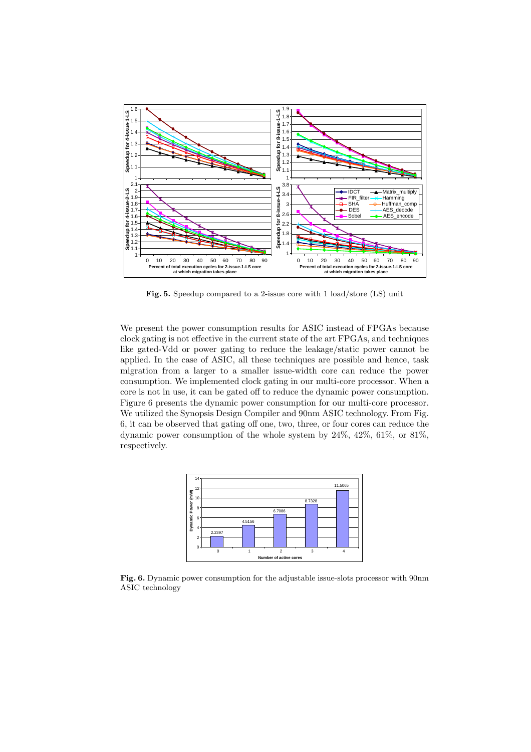

Fig. 5. Speedup compared to a 2-issue core with 1 load/store (LS) unit

We present the power consumption results for ASIC instead of FPGAs because clock gating is not effective in the current state of the art FPGAs, and techniques like gated-Vdd or power gating to reduce the leakage/static power cannot be applied. In the case of ASIC, all these techniques are possible and hence, task migration from a larger to a smaller issue-width core can reduce the power consumption. We implemented clock gating in our multi-core processor. When a core is not in use, it can be gated off to reduce the dynamic power consumption. Figure 6 presents the dynamic power consumption for our multi-core processor. We utilized the Synopsis Design Compiler and 90nm ASIC technology. From Fig. 6, it can be observed that gating off one, two, three, or four cores can reduce the dynamic power consumption of the whole system by 24%, 42%, 61%, or 81%, respectively.



Fig. 6. Dynamic power consumption for the adjustable issue-slots processor with 90nm ASIC technology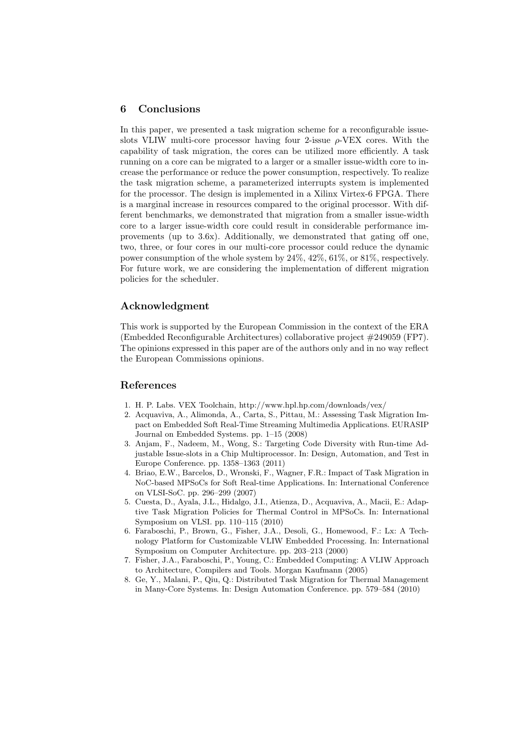## 6 Conclusions

In this paper, we presented a task migration scheme for a reconfigurable issueslots VLIW multi-core processor having four 2-issue  $\rho$ -VEX cores. With the capability of task migration, the cores can be utilized more efficiently. A task running on a core can be migrated to a larger or a smaller issue-width core to increase the performance or reduce the power consumption, respectively. To realize the task migration scheme, a parameterized interrupts system is implemented for the processor. The design is implemented in a Xilinx Virtex-6 FPGA. There is a marginal increase in resources compared to the original processor. With different benchmarks, we demonstrated that migration from a smaller issue-width core to a larger issue-width core could result in considerable performance improvements (up to 3.6x). Additionally, we demonstrated that gating off one, two, three, or four cores in our multi-core processor could reduce the dynamic power consumption of the whole system by 24%, 42%, 61%, or 81%, respectively. For future work, we are considering the implementation of different migration policies for the scheduler.

## Acknowledgment

This work is supported by the European Commission in the context of the ERA (Embedded Reconfigurable Architectures) collaborative project #249059 (FP7). The opinions expressed in this paper are of the authors only and in no way reflect the European Commissions opinions.

## References

- 1. H. P. Labs. VEX Toolchain, http://www.hpl.hp.com/downloads/vex/
- 2. Acquaviva, A., Alimonda, A., Carta, S., Pittau, M.: Assessing Task Migration Impact on Embedded Soft Real-Time Streaming Multimedia Applications. EURASIP Journal on Embedded Systems. pp. 1–15 (2008)
- 3. Anjam, F., Nadeem, M., Wong, S.: Targeting Code Diversity with Run-time Adjustable Issue-slots in a Chip Multiprocessor. In: Design, Automation, and Test in Europe Conference. pp. 1358–1363 (2011)
- 4. Briao, E.W., Barcelos, D., Wronski, F., Wagner, F.R.: Impact of Task Migration in NoC-based MPSoCs for Soft Real-time Applications. In: International Conference on VLSI-SoC. pp. 296–299 (2007)
- 5. Cuesta, D., Ayala, J.L., Hidalgo, J.I., Atienza, D., Acquaviva, A., Macii, E.: Adaptive Task Migration Policies for Thermal Control in MPSoCs. In: International Symposium on VLSI. pp. 110–115 (2010)
- 6. Faraboschi, P., Brown, G., Fisher, J.A., Desoli, G., Homewood, F.: Lx: A Technology Platform for Customizable VLIW Embedded Processing. In: International Symposium on Computer Architecture. pp. 203–213 (2000)
- 7. Fisher, J.A., Faraboschi, P., Young, C.: Embedded Computing: A VLIW Approach to Architecture, Compilers and Tools. Morgan Kaufmann (2005)
- 8. Ge, Y., Malani, P., Qiu, Q.: Distributed Task Migration for Thermal Management in Many-Core Systems. In: Design Automation Conference. pp. 579–584 (2010)